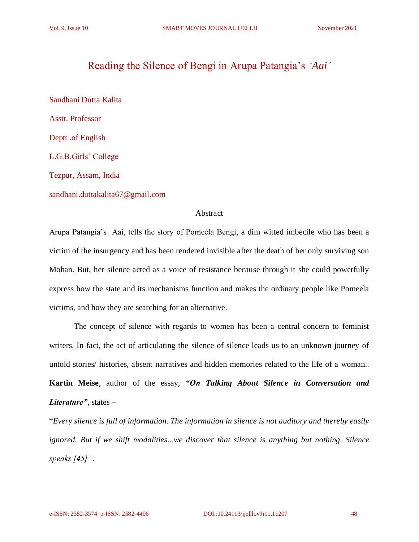# Reading the Silence of Bengi in Arupa Patangia's *'Aai'*

Sandhani Dutta Kalita Asstt. Professor Deptt .of English L.G.B.Girls' College Tezpur, Assam, India sandhani.duttakalita67@gmail.com

#### Abstract

Arupa Patangia's Aai, tells the story of Pomeela Bengi, a dim witted imbecile who has been a victim of the insurgency and has been rendered invisible after the death of her only surviving son Mohan. But, her silence acted as a voice of resistance because through it she could powerfully express how the state and its mechanisms function and makes the ordinary people like Pomeela victims, and how they are searching for an alternative.

The concept of silence with regards to women has been a central concern to feminist writers. In fact, the act of articulating the silence of silence leads us to an unknown journey of untold stories/ histories, absent narratives and hidden memories related to the life of a woman.. **Kartin Meise**, author of the essay, *"On Talking About Silence in Conversation and Literature"*, states –

"*Every silence is full of information. The information in silence is not auditory and thereby easily ignored. But if we shift modalities...we discover that silence is anything but nothing. Silence speaks [45]".*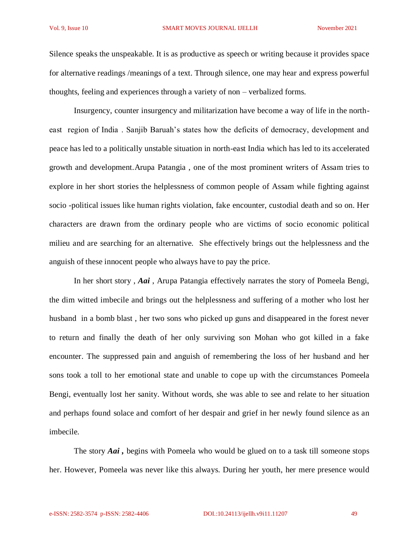Silence speaks the unspeakable. It is as productive as speech or writing because it provides space for alternative readings /meanings of a text. Through silence, one may hear and express powerful thoughts, feeling and experiences through a variety of non – verbalized forms.

Insurgency, counter insurgency and militarization have become a way of life in the northeast region of India . Sanjib Baruah's states how the deficits of democracy, development and peace has led to a politically unstable situation in north-east India which has led to its accelerated growth and development.Arupa Patangia , one of the most prominent writers of Assam tries to explore in her short stories the helplessness of common people of Assam while fighting against socio -political issues like human rights violation, fake encounter, custodial death and so on. Her characters are drawn from the ordinary people who are victims of socio economic political milieu and are searching for an alternative. She effectively brings out the helplessness and the anguish of these innocent people who always have to pay the price.

In her short story , *Aai* , Arupa Patangia effectively narrates the story of Pomeela Bengi, the dim witted imbecile and brings out the helplessness and suffering of a mother who lost her husband in a bomb blast , her two sons who picked up guns and disappeared in the forest never to return and finally the death of her only surviving son Mohan who got killed in a fake encounter. The suppressed pain and anguish of remembering the loss of her husband and her sons took a toll to her emotional state and unable to cope up with the circumstances Pomeela Bengi, eventually lost her sanity. Without words, she was able to see and relate to her situation and perhaps found solace and comfort of her despair and grief in her newly found silence as an imbecile.

The story *Aai ,* begins with Pomeela who would be glued on to a task till someone stops her. However, Pomeela was never like this always. During her youth, her mere presence would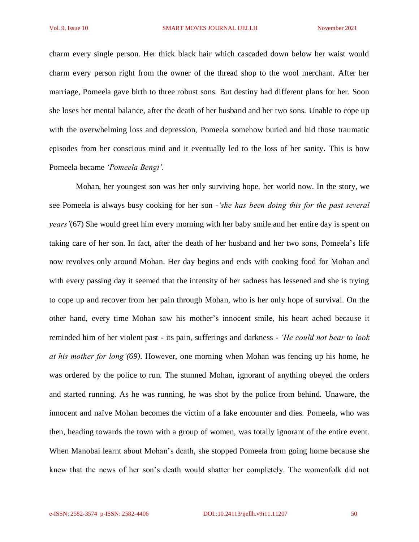charm every single person. Her thick black hair which cascaded down below her waist would charm every person right from the owner of the thread shop to the wool merchant. After her marriage, Pomeela gave birth to three robust sons. But destiny had different plans for her. Soon she loses her mental balance, after the death of her husband and her two sons. Unable to cope up with the overwhelming loss and depression, Pomeela somehow buried and hid those traumatic episodes from her conscious mind and it eventually led to the loss of her sanity. This is how Pomeela became *'Pomeela Bengi'.*

Mohan, her youngest son was her only surviving hope, her world now. In the story, we see Pomeela is always busy cooking for her son *-'she has been doing this for the past several years'*(67) She would greet him every morning with her baby smile and her entire day is spent on taking care of her son. In fact, after the death of her husband and her two sons, Pomeela's life now revolves only around Mohan. Her day begins and ends with cooking food for Mohan and with every passing day it seemed that the intensity of her sadness has lessened and she is trying to cope up and recover from her pain through Mohan, who is her only hope of survival. On the other hand, every time Mohan saw his mother's innocent smile, his heart ached because it reminded him of her violent past - its pain, sufferings and darkness - *'He could not bear to look at his mother for long'(69)*. However, one morning when Mohan was fencing up his home, he was ordered by the police to run. The stunned Mohan, ignorant of anything obeyed the orders and started running. As he was running, he was shot by the police from behind. Unaware, the innocent and naïve Mohan becomes the victim of a fake encounter and dies. Pomeela, who was then, heading towards the town with a group of women, was totally ignorant of the entire event. When Manobai learnt about Mohan's death, she stopped Pomeela from going home because she knew that the news of her son's death would shatter her completely. The womenfolk did not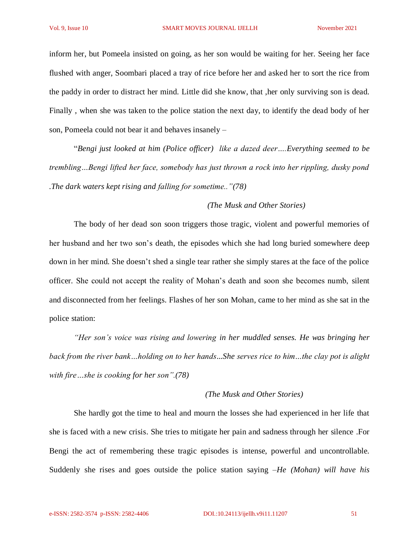inform her, but Pomeela insisted on going, as her son would be waiting for her. Seeing her face flushed with anger, Soombari placed a tray of rice before her and asked her to sort the rice from the paddy in order to distract her mind. Little did she know, that ,her only surviving son is dead. Finally , when she was taken to the police station the next day, to identify the dead body of her son, Pomeela could not bear it and behaves insanely –

"*Bengi just looked at him (Police officer) like a dazed deer….Everything seemed to be trembling…Bengi lifted her face, somebody has just thrown a rock into her rippling, dusky pond .The dark waters kept rising and falling for sometime.."(78)*

### *(The Musk and Other Stories)*

The body of her dead son soon triggers those tragic, violent and powerful memories of her husband and her two son's death, the episodes which she had long buried somewhere deep down in her mind. She doesn't shed a single tear rather she simply stares at the face of the police officer. She could not accept the reality of Mohan's death and soon she becomes numb, silent and disconnected from her feelings. Flashes of her son Mohan, came to her mind as she sat in the police station:

*"Her son's voice was rising and lowering in her muddled senses. He was bringing her back from the river bank…holding on to her hands...She serves rice to him…the clay pot is alight with fire…she is cooking for her son".(78)*

#### *(The Musk and Other Stories)*

She hardly got the time to heal and mourn the losses she had experienced in her life that she is faced with a new crisis. She tries to mitigate her pain and sadness through her silence .For Bengi the act of remembering these tragic episodes is intense, powerful and uncontrollable. Suddenly she rises and goes outside the police station saying –*He (Mohan) will have his*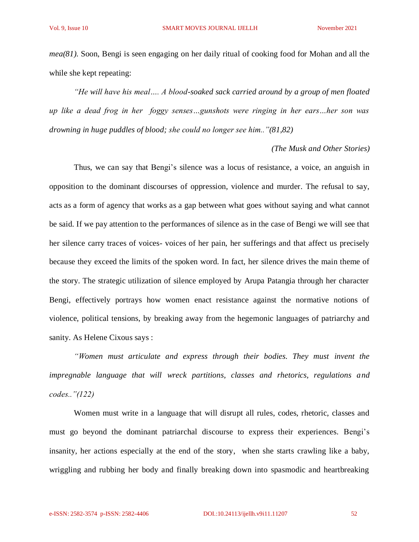*mea(81).* Soon, Bengi is seen engaging on her daily ritual of cooking food for Mohan and all the while she kept repeating:

*"He will have his meal…. A blood-soaked sack carried around by a group of men floated up like a dead frog in her foggy senses…gunshots were ringing in her ears…her son was drowning in huge puddles of blood; she could no longer see him.."(81,82)*

#### *(The Musk and Other Stories)*

Thus, we can say that Bengi's silence was a locus of resistance, a voice, an anguish in opposition to the dominant discourses of oppression, violence and murder. The refusal to say, acts as a form of agency that works as a gap between what goes without saying and what cannot be said. If we pay attention to the performances of silence as in the case of Bengi we will see that her silence carry traces of voices- voices of her pain, her sufferings and that affect us precisely because they exceed the limits of the spoken word. In fact, her silence drives the main theme of the story. The strategic utilization of silence employed by Arupa Patangia through her character Bengi, effectively portrays how women enact resistance against the normative notions of violence, political tensions, by breaking away from the hegemonic languages of patriarchy and sanity. As Helene Cixous says :

*"Women must articulate and express through their bodies. They must invent the impregnable language that will wreck partitions, classes and rhetorics, regulations and codes.."(122)*

Women must write in a language that will disrupt all rules, codes, rhetoric, classes and must go beyond the dominant patriarchal discourse to express their experiences. Bengi's insanity, her actions especially at the end of the story, when she starts crawling like a baby, wriggling and rubbing her body and finally breaking down into spasmodic and heartbreaking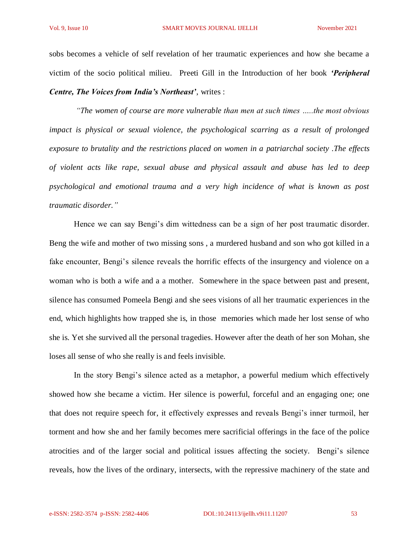sobs becomes a vehicle of self revelation of her traumatic experiences and how she became a victim of the socio political milieu. Preeti Gill in the Introduction of her book *'Peripheral Centre, The Voices from India's Northeast'*, writes :

*"The women of course are more vulnerable than men at such times …..the most obvious impact is physical or sexual violence, the psychological scarring as a result of prolonged exposure to brutality and the restrictions placed on women in a patriarchal society .The effects of violent acts like rape, sexual abuse and physical assault and abuse has led to deep psychological and emotional trauma and a very high incidence of what is known as post traumatic disorder."* 

Hence we can say Bengi's dim wittedness can be a sign of her post traumatic disorder. Beng the wife and mother of two missing sons , a murdered husband and son who got killed in a fake encounter, Bengi's silence reveals the horrific effects of the insurgency and violence on a woman who is both a wife and a a mother. Somewhere in the space between past and present, silence has consumed Pomeela Bengi and she sees visions of all her traumatic experiences in the end, which highlights how trapped she is, in those memories which made her lost sense of who she is. Yet she survived all the personal tragedies. However after the death of her son Mohan, she loses all sense of who she really is and feels invisible.

In the story Bengi's silence acted as a metaphor, a powerful medium which effectively showed how she became a victim. Her silence is powerful, forceful and an engaging one; one that does not require speech for, it effectively expresses and reveals Bengi's inner turmoil, her torment and how she and her family becomes mere sacrificial offerings in the face of the police atrocities and of the larger social and political issues affecting the society. Bengi's silence reveals, how the lives of the ordinary, intersects, with the repressive machinery of the state and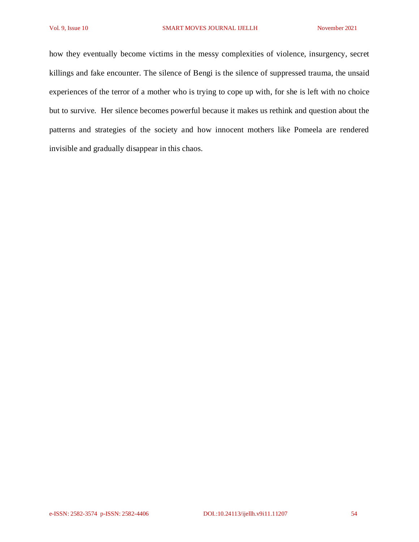how they eventually become victims in the messy complexities of violence, insurgency, secret killings and fake encounter. The silence of Bengi is the silence of suppressed trauma, the unsaid experiences of the terror of a mother who is trying to cope up with, for she is left with no choice but to survive. Her silence becomes powerful because it makes us rethink and question about the patterns and strategies of the society and how innocent mothers like Pomeela are rendered invisible and gradually disappear in this chaos.